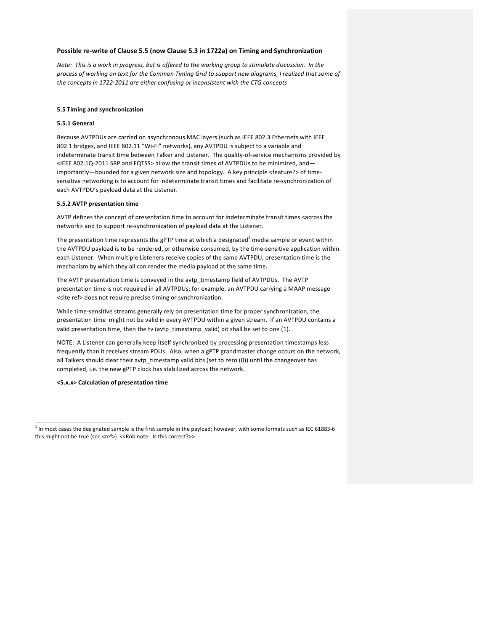# **Possible re-write of Clause 5.5 (now Clause 5.3 in 1722a) on Timing and Synchronization**

Note: This is a work in progress, but is offered to the working group to stimulate discussion. In the process of working on text for the Common Timing Grid to support new diagrams, I realized that some of the concepts in 1722-2011 are either confusing or inconsistent with the CTG concepts

# **5.5 Timing and synchronization**

### **5.5.1 General**

Because AVTPDUs are carried on asynchronous MAC layers (such as IEEE 802.3 Ethernets with IEEE 802.1 bridges, and IEEE 802.11 "Wi-Fi" networks), any AVTPDU is subject to a variable and indeterminate transit time between Talker and Listener. The quality-of-service mechanisms provided by <IEEE 802.1Q-2011 SRP and FQTSS> allow the transit times of AVTPDUs to be minimized, andimportantly—bounded for a given network size and topology. A key principle <feature?> of timesensitive networking is to account for indeterminate transit times and facilitate re-synchronization of each AVTPDU's payload data at the Listener.

#### **5.5.2 AVTP presentation time**

AVTP defines the concept of presentation time to account for indeterminate transit times <across the network> and to support re-synchronization of payload data at the Listener.

The presentation time represents the gPTP time at which a designated<sup>1</sup> media sample or event within the AVTPDU payload is to be rendered, or otherwise consumed, by the time-sensitive application within each Listener. When multiple Listeners receive copies of the same AVTPDU, presentation time is the mechanism by which they all can render the media payload at the same time.

The AVTP presentation time is conveyed in the avtp timestamp field of AVTPDUs. The AVTP presentation time is not required in all AVTPDUs; for example, an AVTPDU carrying a MAAP message <cite ref> does not require precise timing or synchronization.

While time-sensitive streams generally rely on presentation time for proper synchronization, the presentation time might not be valid in every AVTPDU within a given stream. If an AVTPDU contains a valid presentation time, then the tv (avtp\_timestamp\_valid) bit shall be set to one (1).

NOTE: A Listener can generally keep itself synchronized by processing presentation timestamps less frequently than it receives stream PDUs. Also, when a gPTP grandmaster change occurs on the network, all Talkers should clear their avtp\_timestamp valid bits (set to zero (0)) until the changeover has completed, i.e. the new gPTP clock has stabilized across the network.

**<5.x.x> Calculation of presentation time**

<u> 1989 - Johann Barn, mars ann an t-Amhain an t-Amhain an t-Amhain an t-Amhain an t-Amhain an t-Amhain an t-Amh</u>

 $1$  In most cases the designated sample is the first sample in the payload; however, with some formats such as IEC 61883-6 this might not be true (see <ref>) <<Rob note: Is this correct?>>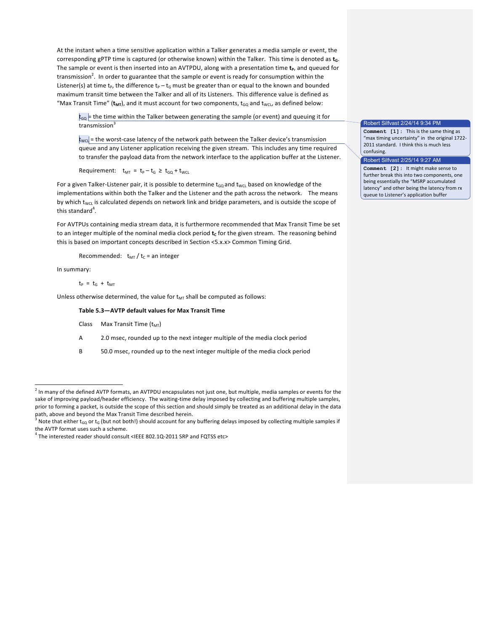At the instant when a time sensitive application within a Talker generates a media sample or event, the corresponding gPTP time is captured (or otherwise known) within the Talker. This time is denoted as t<sub>a</sub>. The sample or event is then inserted into an AVTPDU, along with a presentation time  $t_p$ , and queued for transmission<sup>2</sup>. In order to guarantee that the sample or event is ready for consumption within the Listener(s) at time  $t_p$ , the difference  $t_p - t_G$  must be greater than or equal to the known and bounded maximum transit time between the Talker and all of its Listeners. This difference value is defined as "Max Transit Time" ( $t_{MT}$ ), and it must account for two components,  $t_{GQ}$  and  $t_{WCL}$ , as defined below:

 $t_{\text{GQ}}$  = the time within the Talker between generating the sample (or event) and queuing it for transmission<sup>3</sup>

 $t_{\text{WCl}}$  = the worst-case latency of the network path between the Talker device's transmission queue and any Listener application receiving the given stream. This includes any time required to transfer the payload data from the network interface to the application buffer at the Listener.

Requirement:  $t_{MT} = t_P - t_G \geq t_{GQ} + t_{WCL}$ 

For a given Talker-Listener pair, it is possible to determine  $t_{GQ}$  and  $t_{WCL}$  based on knowledge of the implementations within both the Talker and the Listener and the path across the network. The means by which t<sub>WCL</sub> is calculated depends on network link and bridge parameters, and is outside the scope of this standard<sup>4</sup>.

For AVTPUs containing media stream data, it is furthermore recommended that Max Transit Time be set to an integer multiple of the nominal media clock period t<sub>c</sub> for the given stream. The reasoning behind this is based on important concepts described in Section <5.x.x> Common Timing Grid.

Recommended:  $t_{MT} / t_c$  = an integer

In summary:

<u> 1989 - Johann Barn, mars ann an t-Amhain an t-Amhain an t-Amhain an t-Amhain an t-Amhain an t-Amhain an t-Amh</u>

$$
t_P = t_G + t_{MT}
$$

Unless otherwise determined, the value for  $t_{MT}$  shall be computed as follows:

## Table 5.3-AVTP default values for Max Transit Time

```
Class Max Transit Time (t_{MT})
```
A 2.0 msec, rounded up to the next integer multiple of the media clock period

B 50.0 msec, rounded up to the next integer multiple of the media clock period

# Robert Silfvast 2/24/14 9:34 PM

**Comment** [1]: This is the same thing as "max timing uncertainty" in the original 1722-2011 standard. I think this is much less confusing.

#### Robert Silfvast 2/25/14 9:27 AM

**Comment** [2]: It might make sense to further break this into two components, one being essentially the "MSRP accumulated latency" and other being the latency from rx queue to Listener's application buffer

 $^2$  In many of the defined AVTP formats, an AVTPDU encapsulates not just one, but multiple, media samples or events for the sake of improving payload/header efficiency. The waiting-time delay imposed by collecting and buffering multiple samples, prior to forming a packet, is outside the scope of this section and should simply be treated as an additional delay in the data path, above and beyond the Max Transit Time described herein.

Note that either t<sub>GQ</sub> or t<sub>G</sub> (but not both!) should account for any buffering delays imposed by collecting multiple samples if the AVTP format uses such a scheme.<br> $^4$  The interested reader should consult <IEEE 802.1Q-2011 SRP and FQTSS etc>